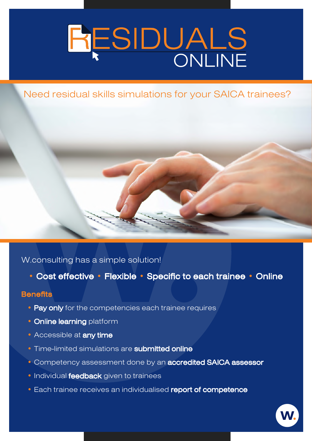# RESIDUALS

# Need residual skills simulations for your SAICA trainees?

# W.consulting has a simple solution!

• Cost effective • Flexible • Specific to each trainee • Online

## **Benefits**

- Pay only for the competencies each trainee requires
- **Online learning platform**
- Accessible at any time
- Time-limited simulations are **submitted online**
- **Competency assessment done by an accredited SAICA assessor**
- **Individual feedback** given to trainees
- **Each trainee receives an individualised report of competence**

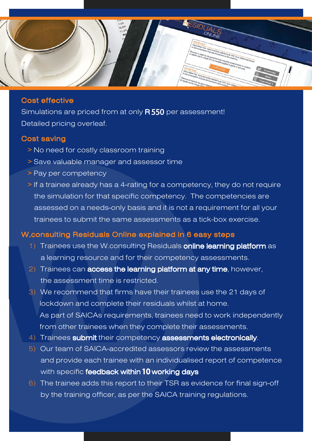

#### Cost effective

Simulations are priced from at only  $\bm{\mathsf{R}\,550}$  per assessment! Detailed pricing overleaf.

#### Cost saving

- *>* No need for costly classroom training
- *>* Save valuable manager and assessor time
- *>* Pay per competency
- *>* If a trainee already has a 4-rating for a competency, they do not require the simulation for that specific competency. The competencies are assessed on a needs-only basis and it is not a requirement for all your trainees to submit the same assessments as a tick-box exercise.

## W.consulting Residuals Online explained in 6 easy steps

- 1) Trainees use the W.consulting Residuals online learning platform as a learning resource and for their competency assessments.
- 2) Trainees can **access the learning platform at any time**, however, the assessment time is restricted.
- 3) We recommend that firms have their trainees use the 21 days of lockdown and complete their residuals whilst at home. As part of SAICAs requirements, trainees need to work independently from other trainees when they complete their assessments.
- 4) Trainees submit their competency assessments electronically.
- 5) Our team of SAICA-accredited assessors review the assessments and provide each trainee with an individualised report of competence with specific **feedback within 10 working days**
- 6) The trainee adds this report to their TSR as evidence for final sign-off by the training officer, as per the SAICA training regulations.